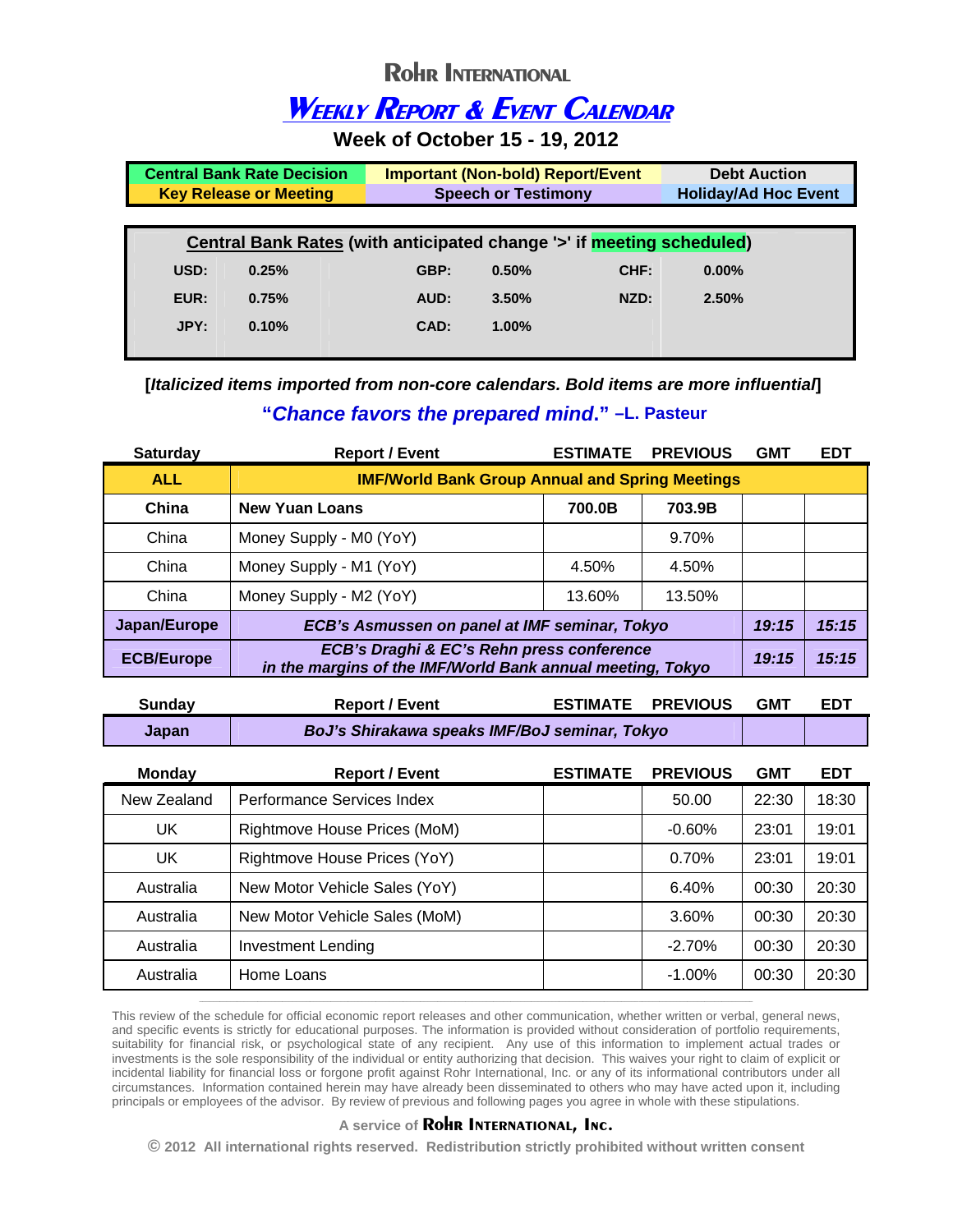## **Rohr INTERNATIONAL**

## **WEEKLY REPORT & EVENT CALENDAR**

**Week of October 15 - 19, 2012** 

|                                                                       | <b>Central Bank Rate Decision</b>                           | <b>Important (Non-bold) Report/Event</b> |          | <b>Debt Auction</b>         |          |  |
|-----------------------------------------------------------------------|-------------------------------------------------------------|------------------------------------------|----------|-----------------------------|----------|--|
|                                                                       | <b>Speech or Testimony</b><br><b>Key Release or Meeting</b> |                                          |          | <b>Holiday/Ad Hoc Event</b> |          |  |
|                                                                       |                                                             |                                          |          |                             |          |  |
| Central Bank Rates (with anticipated change '>' if meeting scheduled) |                                                             |                                          |          |                             |          |  |
| USD:                                                                  | 0.25%                                                       | GBP:                                     | 0.50%    | CHF:                        | $0.00\%$ |  |
| EUR:                                                                  | 0.75%                                                       | AUD:                                     | 3.50%    | NZD:                        | 2.50%    |  |
| JPY:                                                                  | 0.10%                                                       | CAD:                                     | $1.00\%$ |                             |          |  |
|                                                                       |                                                             |                                          |          |                             |          |  |

 **[***Italicized items imported from non-core calendars. Bold items are more influential***] "***Chance favors the prepared mind***." –L. Pasteur** 

| <b>Saturday</b>   | <b>Report / Event</b>                                                                                   | <b>ESTIMATE</b> | <b>PREVIOUS</b> | <b>GMT</b> | <b>EDT</b> |
|-------------------|---------------------------------------------------------------------------------------------------------|-----------------|-----------------|------------|------------|
| <b>ALL</b>        | <b>IMF/World Bank Group Annual and Spring Meetings</b>                                                  |                 |                 |            |            |
| China             | <b>New Yuan Loans</b>                                                                                   | 700.0B          | 703.9B          |            |            |
| China             | Money Supply - M0 (YoY)                                                                                 |                 | 9.70%           |            |            |
| China             | Money Supply - M1 (YoY)                                                                                 | 4.50%           | 4.50%           |            |            |
| China             | Money Supply - M2 (YoY)                                                                                 | 13.60%          | 13.50%          |            |            |
| Japan/Europe      | ECB's Asmussen on panel at IMF seminar, Tokyo                                                           |                 |                 | 19:15      | 15:15      |
| <b>ECB/Europe</b> | ECB's Draghi & EC's Rehn press conference<br>in the margins of the IMF/World Bank annual meeting, Tokyo |                 |                 | 19:15      | 15:15      |

| Sunday       | <b>Report / Event</b>                         | <b>ESTIMATE PREVIOUS</b> | <b>GMT</b> | <b>EDT</b> |
|--------------|-----------------------------------------------|--------------------------|------------|------------|
| <b>Japan</b> | BoJ's Shirakawa speaks IMF/BoJ seminar, Tokyo |                          |            |            |

| <b>Monday</b> | <b>Report / Event</b>         | <b>ESTIMATE</b> | <b>PREVIOUS</b> | <b>GMT</b> | <b>EDT</b> |
|---------------|-------------------------------|-----------------|-----------------|------------|------------|
| New Zealand   | Performance Services Index    |                 | 50.00           | 22:30      | 18:30      |
| UK            | Rightmove House Prices (MoM)  |                 | $-0.60\%$       | 23:01      | 19:01      |
| UK            | Rightmove House Prices (YoY)  |                 | 0.70%           | 23:01      | 19:01      |
| Australia     | New Motor Vehicle Sales (YoY) |                 | 6.40%           | 00:30      | 20:30      |
| Australia     | New Motor Vehicle Sales (MoM) |                 | 3.60%           | 00:30      | 20:30      |
| Australia     | <b>Investment Lending</b>     |                 | $-2.70%$        | 00:30      | 20:30      |
| Australia     | Home Loans                    |                 | $-1.00\%$       | 00:30      | 20:30      |

This review of the schedule for official economic report releases and other communication, whether written or verbal, general news, and specific events is strictly for educational purposes. The information is provided without consideration of portfolio requirements, suitability for financial risk, or psychological state of any recipient. Any use of this information to implement actual trades or investments is the sole responsibility of the individual or entity authorizing that decision. This waives your right to claim of explicit or incidental liability for financial loss or forgone profit against Rohr International, Inc. or any of its informational contributors under all circumstances. Information contained herein may have already been disseminated to others who may have acted upon it, including principals or employees of the advisor. By review of previous and following pages you agree in whole with these stipulations.

**\_\_\_\_\_\_\_\_\_\_\_\_\_\_\_\_\_\_\_\_\_\_\_\_\_\_\_\_\_\_\_\_\_\_\_\_\_\_\_\_\_\_\_\_\_\_\_\_\_\_\_\_\_\_\_\_\_\_\_\_\_\_\_\_\_\_\_\_\_\_\_\_\_\_\_\_\_\_\_\_\_\_\_\_\_\_\_\_\_\_\_\_\_\_\_\_\_\_\_\_\_\_\_\_\_\_\_\_\_\_\_\_\_\_\_\_\_\_\_\_\_\_\_\_\_\_\_\_\_\_\_\_\_\_\_\_\_\_\_\_\_\_\_\_\_\_\_\_\_\_\_\_\_\_\_\_\_\_\_\_** 

## **A service of Rohr INTERNATIONAL, Inc.**

**© 2012 All international rights reserved. Redistribution strictly prohibited without written consent**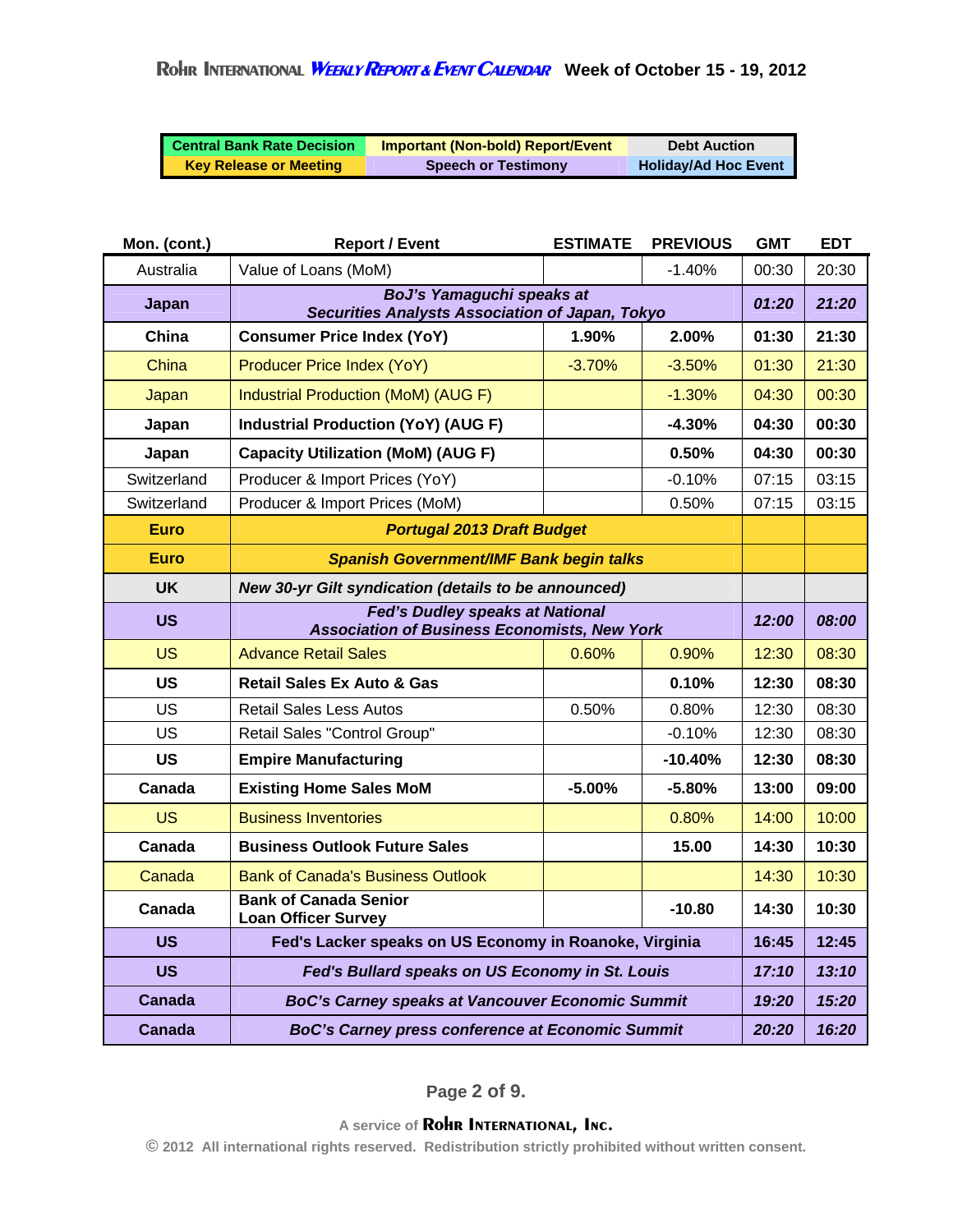| <b>Central Bank Rate Decision</b> | <b>Important (Non-bold) Report/Event</b> | <b>Debt Auction</b>         |
|-----------------------------------|------------------------------------------|-----------------------------|
| <b>Key Release or Meeting</b>     | <b>Speech or Testimony</b>               | <b>Holiday/Ad Hoc Event</b> |

| Mon. (cont.) | <b>Report / Event</b>                                                                         | <b>ESTIMATE</b> | <b>PREVIOUS</b> | <b>GMT</b> | <b>EDT</b> |
|--------------|-----------------------------------------------------------------------------------------------|-----------------|-----------------|------------|------------|
| Australia    | Value of Loans (MoM)                                                                          |                 | $-1.40%$        | 00:30      | 20:30      |
| Japan        | BoJ's Yamaguchi speaks at<br><b>Securities Analysts Association of Japan, Tokyo</b>           |                 |                 | 01:20      | 21:20      |
| China        | <b>Consumer Price Index (YoY)</b>                                                             | 1.90%           | 2.00%           | 01:30      | 21:30      |
| China        | Producer Price Index (YoY)                                                                    | $-3.70%$        | $-3.50%$        | 01:30      | 21:30      |
| Japan        | Industrial Production (MoM) (AUG F)                                                           |                 | $-1.30%$        | 04:30      | 00:30      |
| Japan        | <b>Industrial Production (YoY) (AUG F)</b>                                                    |                 | $-4.30%$        | 04:30      | 00:30      |
| Japan        | <b>Capacity Utilization (MoM) (AUG F)</b>                                                     |                 | 0.50%           | 04:30      | 00:30      |
| Switzerland  | Producer & Import Prices (YoY)                                                                |                 | $-0.10%$        | 07:15      | 03:15      |
| Switzerland  | Producer & Import Prices (MoM)                                                                |                 | 0.50%           | 07:15      | 03:15      |
| <b>Euro</b>  | <b>Portugal 2013 Draft Budget</b>                                                             |                 |                 |            |            |
| <b>Euro</b>  | <b>Spanish Government/IMF Bank begin talks</b>                                                |                 |                 |            |            |
| <b>UK</b>    | New 30-yr Gilt syndication (details to be announced)                                          |                 |                 |            |            |
| <b>US</b>    | <b>Fed's Dudley speaks at National</b><br><b>Association of Business Economists, New York</b> |                 |                 |            | 08:00      |
| <b>US</b>    | <b>Advance Retail Sales</b>                                                                   | 0.60%           | 0.90%           | 12:30      | 08:30      |
| US           | <b>Retail Sales Ex Auto &amp; Gas</b>                                                         |                 | 0.10%           | 12:30      | 08:30      |
| US           | <b>Retail Sales Less Autos</b>                                                                | 0.50%           | 0.80%           | 12:30      | 08:30      |
| <b>US</b>    | Retail Sales "Control Group"                                                                  |                 | $-0.10%$        | 12:30      | 08:30      |
| <b>US</b>    | <b>Empire Manufacturing</b>                                                                   |                 | $-10.40%$       | 12:30      | 08:30      |
| Canada       | <b>Existing Home Sales MoM</b>                                                                | $-5.00%$        | $-5.80%$        | 13:00      | 09:00      |
| <b>US</b>    | <b>Business Inventories</b>                                                                   |                 | 0.80%           | 14:00      | 10:00      |
| Canada       | <b>Business Outlook Future Sales</b>                                                          |                 | 15.00           | 14:30      | 10:30      |
| Canada       | <b>Bank of Canada's Business Outlook</b>                                                      |                 |                 | 14:30      | 10:30      |
| Canada       | <b>Bank of Canada Senior</b><br><b>Loan Officer Survey</b>                                    |                 | $-10.80$        | 14:30      | 10:30      |
| <b>US</b>    | Fed's Lacker speaks on US Economy in Roanoke, Virginia                                        |                 |                 | 16:45      | 12:45      |
| <b>US</b>    | Fed's Bullard speaks on US Economy in St. Louis                                               |                 |                 | 17:10      | 13:10      |
| Canada       | <b>BoC's Carney speaks at Vancouver Economic Summit</b>                                       |                 |                 | 19:20      | 15:20      |
| Canada       | <b>BoC's Carney press conference at Economic Summit</b>                                       |                 |                 | 20:20      | 16:20      |

**Page 2 of 9.**

**A service of Rohr INTERNATIONAL, Inc.** 

**© 2012 All international rights reserved. Redistribution strictly prohibited without written consent.**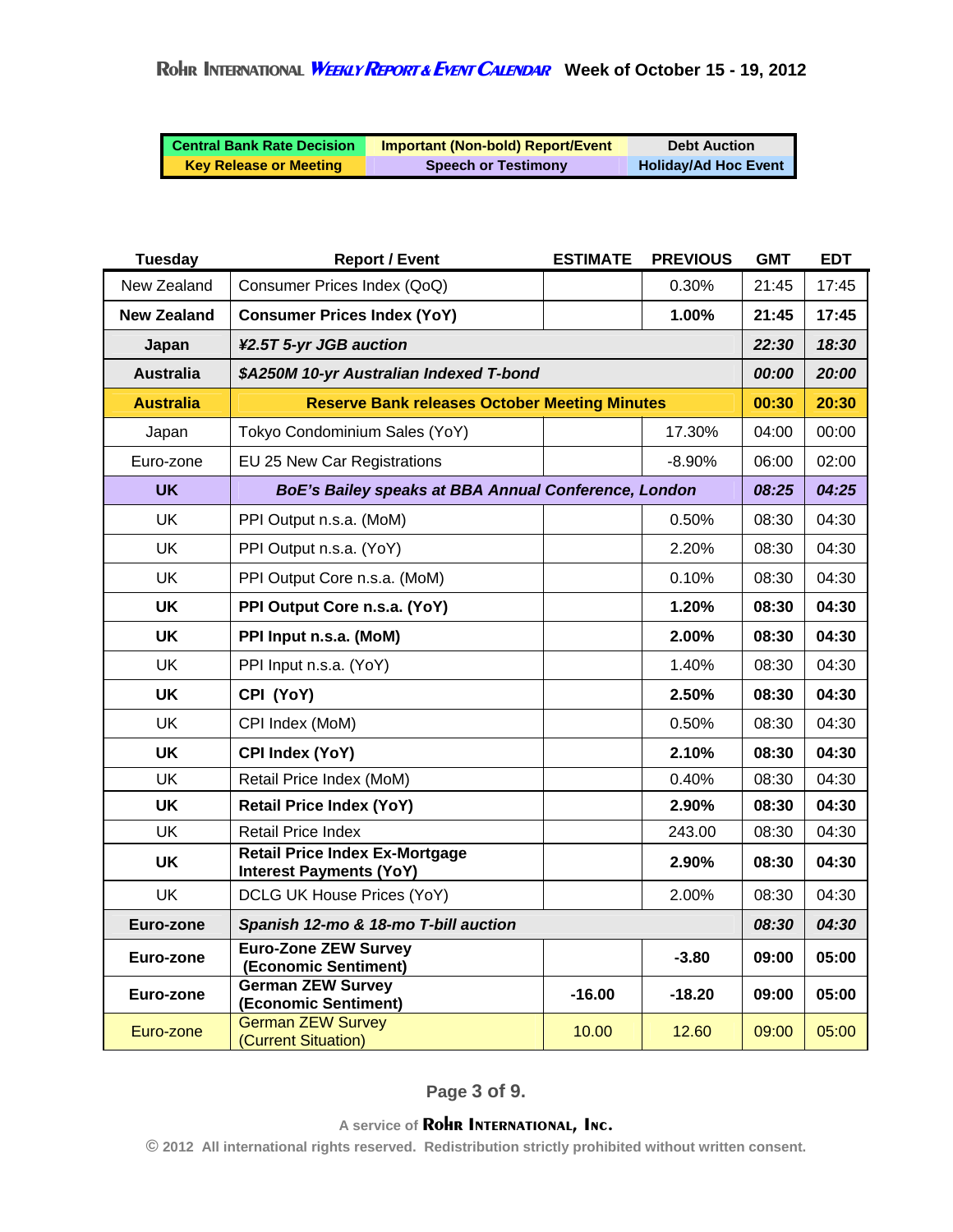| <b>Central Bank Rate Decision</b> | <b>Important (Non-bold) Report/Event</b> | <b>Debt Auction</b>         |
|-----------------------------------|------------------------------------------|-----------------------------|
| <b>Key Release or Meeting</b>     | <b>Speech or Testimony</b>               | <b>Holiday/Ad Hoc Event</b> |

| <b>Tuesday</b>     | <b>Report / Event</b>                                                   | <b>ESTIMATE</b> | <b>PREVIOUS</b> | <b>GMT</b>          | <b>EDT</b> |
|--------------------|-------------------------------------------------------------------------|-----------------|-----------------|---------------------|------------|
| New Zealand        | Consumer Prices Index (QoQ)                                             |                 | 0.30%           | 21:45               | 17:45      |
| <b>New Zealand</b> | <b>Consumer Prices Index (YoY)</b>                                      |                 | 1.00%           | 21:45               | 17:45      |
| Japan              | ¥2.5T 5-yr JGB auction                                                  |                 |                 | 22:30               | 18:30      |
| <b>Australia</b>   | \$A250M 10-yr Australian Indexed T-bond                                 |                 |                 | <i><b>00:00</b></i> | 20:00      |
| <b>Australia</b>   | <b>Reserve Bank releases October Meeting Minutes</b>                    |                 |                 | 00:30               | 20:30      |
| Japan              | Tokyo Condominium Sales (YoY)                                           |                 | 17.30%          | 04:00               | 00:00      |
| Euro-zone          | EU 25 New Car Registrations                                             |                 | $-8.90%$        | 06:00               | 02:00      |
| <b>UK</b>          | BoE's Bailey speaks at BBA Annual Conference, London                    |                 |                 | 08:25               | 04:25      |
| <b>UK</b>          | PPI Output n.s.a. (MoM)                                                 |                 | 0.50%           | 08:30               | 04:30      |
| <b>UK</b>          | PPI Output n.s.a. (YoY)                                                 |                 | 2.20%           | 08:30               | 04:30      |
| <b>UK</b>          | PPI Output Core n.s.a. (MoM)                                            |                 | 0.10%           | 08:30               | 04:30      |
| <b>UK</b>          | PPI Output Core n.s.a. (YoY)                                            |                 | 1.20%           | 08:30               | 04:30      |
| <b>UK</b>          | PPI Input n.s.a. (MoM)                                                  |                 | 2.00%           | 08:30               | 04:30      |
| <b>UK</b>          | PPI Input n.s.a. (YoY)                                                  |                 | 1.40%           | 08:30               | 04:30      |
| <b>UK</b>          | CPI (YoY)                                                               |                 | 2.50%           | 08:30               | 04:30      |
| UK                 | CPI Index (MoM)                                                         |                 | 0.50%           | 08:30               | 04:30      |
| <b>UK</b>          | <b>CPI Index (YoY)</b>                                                  |                 | 2.10%           | 08:30               | 04:30      |
| <b>UK</b>          | Retail Price Index (MoM)                                                |                 | 0.40%           | 08:30               | 04:30      |
| <b>UK</b>          | <b>Retail Price Index (YoY)</b>                                         |                 | 2.90%           | 08:30               | 04:30      |
| <b>UK</b>          | <b>Retail Price Index</b>                                               |                 | 243.00          | 08:30               | 04:30      |
| <b>UK</b>          | <b>Retail Price Index Ex-Mortgage</b><br><b>Interest Payments (YoY)</b> |                 | 2.90%           | 08:30               | 04:30      |
| <b>UK</b>          | DCLG UK House Prices (YoY)                                              |                 | 2.00%           | 08:30               | 04:30      |
| Euro-zone          | Spanish 12-mo & 18-mo T-bill auction                                    |                 |                 | 08:30               | 04:30      |
| Euro-zone          | <b>Euro-Zone ZEW Survey</b><br>(Economic Sentiment)                     |                 | $-3.80$         | 09:00               | 05:00      |
| Euro-zone          | <b>German ZEW Survey</b><br>(Economic Sentiment)                        | $-16.00$        | $-18.20$        | 09:00               | 05:00      |
| Euro-zone          | <b>German ZEW Survey</b><br>(Current Situation)                         | 10.00           | 12.60           | 09:00               | 05:00      |

**Page 3 of 9.**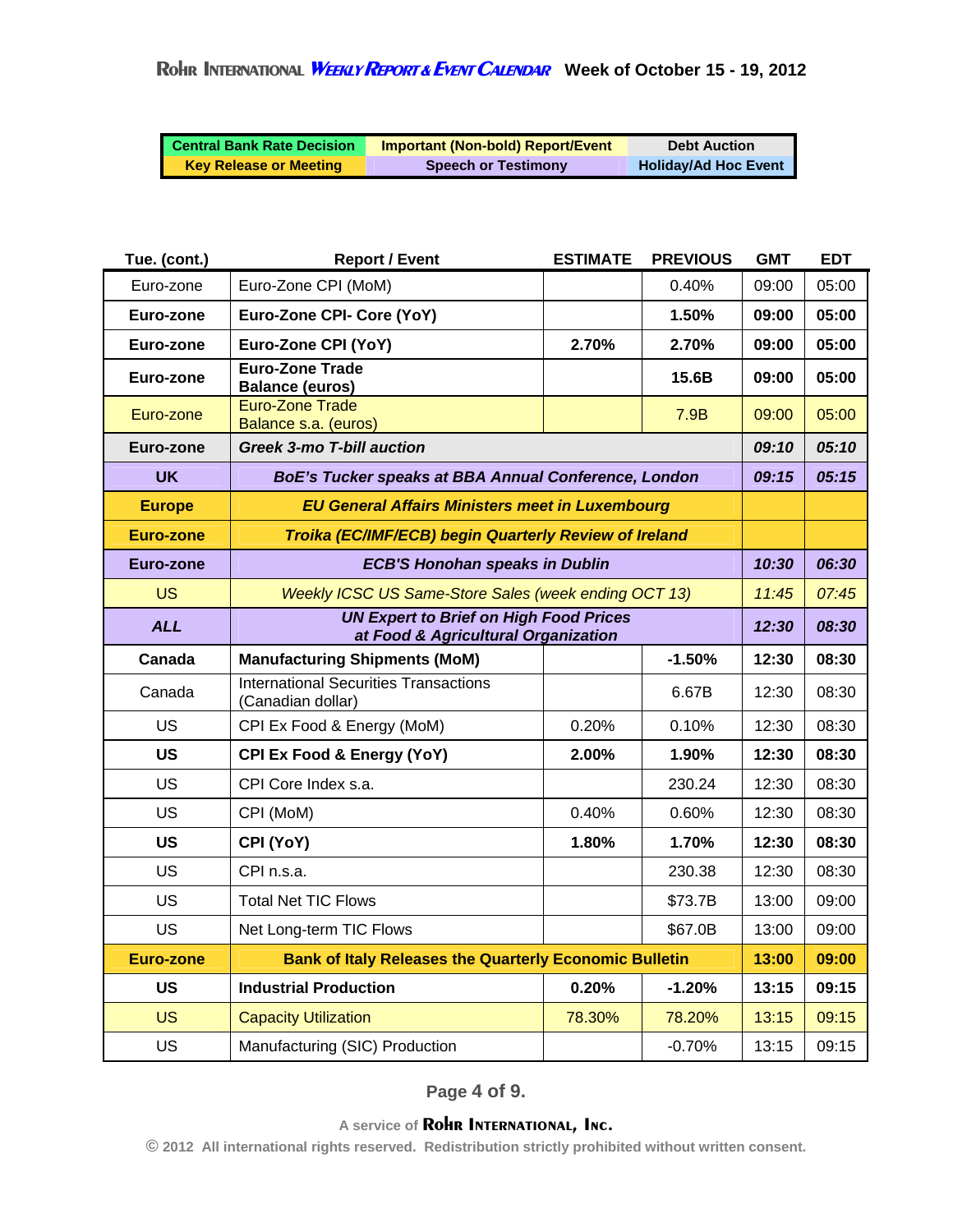| <b>Central Bank Rate Decision</b> | <b>Important (Non-bold) Report/Event</b> | <b>Debt Auction</b>         |
|-----------------------------------|------------------------------------------|-----------------------------|
| <b>Key Release or Meeting</b>     | <b>Speech or Testimony</b>               | <b>Holiday/Ad Hoc Event</b> |

| Tue. (cont.)     | <b>Report / Event</b>                                                                | <b>ESTIMATE</b> | <b>PREVIOUS</b> | <b>GMT</b> | <b>EDT</b> |
|------------------|--------------------------------------------------------------------------------------|-----------------|-----------------|------------|------------|
| Euro-zone        | Euro-Zone CPI (MoM)                                                                  |                 | 0.40%           | 09:00      | 05:00      |
| Euro-zone        | Euro-Zone CPI- Core (YoY)                                                            |                 | 1.50%           | 09:00      | 05:00      |
| Euro-zone        | Euro-Zone CPI (YoY)                                                                  | 2.70%           | 2.70%           | 09:00      | 05:00      |
| Euro-zone        | <b>Euro-Zone Trade</b><br><b>Balance (euros)</b>                                     |                 | 15.6B           | 09:00      | 05:00      |
| Euro-zone        | <b>Euro-Zone Trade</b><br>Balance s.a. (euros)                                       |                 | 7.9B            | 09:00      | 05:00      |
| Euro-zone        | <b>Greek 3-mo T-bill auction</b>                                                     |                 |                 | 09:10      | 05:10      |
| <b>UK</b>        | BoE's Tucker speaks at BBA Annual Conference, London                                 |                 |                 | 09:15      | 05:15      |
| <b>Europe</b>    | <b>EU General Affairs Ministers meet in Luxembourg</b>                               |                 |                 |            |            |
| Euro-zone        | Troika (EC/IMF/ECB) begin Quarterly Review of Ireland                                |                 |                 |            |            |
| Euro-zone        | <b>ECB'S Honohan speaks in Dublin</b>                                                |                 |                 | 10:30      | 06:30      |
| <b>US</b>        | Weekly ICSC US Same-Store Sales (week ending OCT 13)                                 |                 |                 |            | 07:45      |
| <b>ALL</b>       | <b>UN Expert to Brief on High Food Prices</b><br>at Food & Agricultural Organization |                 |                 | 12:30      | 08:30      |
| Canada           | <b>Manufacturing Shipments (MoM)</b>                                                 |                 | $-1.50%$        | 12:30      | 08:30      |
| Canada           | <b>International Securities Transactions</b><br>(Canadian dollar)                    |                 | 6.67B           | 12:30      | 08:30      |
| <b>US</b>        | CPI Ex Food & Energy (MoM)                                                           | 0.20%           | 0.10%           | 12:30      | 08:30      |
| <b>US</b>        | CPI Ex Food & Energy (YoY)                                                           | 2.00%           | 1.90%           | 12:30      | 08:30      |
| <b>US</b>        | CPI Core Index s.a.                                                                  |                 | 230.24          | 12:30      | 08:30      |
| <b>US</b>        | CPI (MoM)                                                                            | 0.40%           | 0.60%           | 12:30      | 08:30      |
| US               | CPI (YoY)                                                                            | 1.80%           | 1.70%           | 12:30      | 08:30      |
| US               | CPI n.s.a.                                                                           |                 | 230.38          | 12:30      | 08:30      |
| US               | <b>Total Net TIC Flows</b>                                                           |                 | \$73.7B         | 13:00      | 09:00      |
| <b>US</b>        | Net Long-term TIC Flows                                                              |                 | \$67.0B         | 13:00      | 09:00      |
| <b>Euro-zone</b> | <b>Bank of Italy Releases the Quarterly Economic Bulletin</b>                        |                 |                 | 13:00      | 09:00      |
| <b>US</b>        | <b>Industrial Production</b>                                                         | 0.20%           | $-1.20%$        | 13:15      | 09:15      |
| <b>US</b>        | <b>Capacity Utilization</b>                                                          | 78.30%          | 78.20%          | 13:15      | 09:15      |
| <b>US</b>        | Manufacturing (SIC) Production                                                       |                 | $-0.70%$        | 13:15      | 09:15      |

**Page 4 of 9.**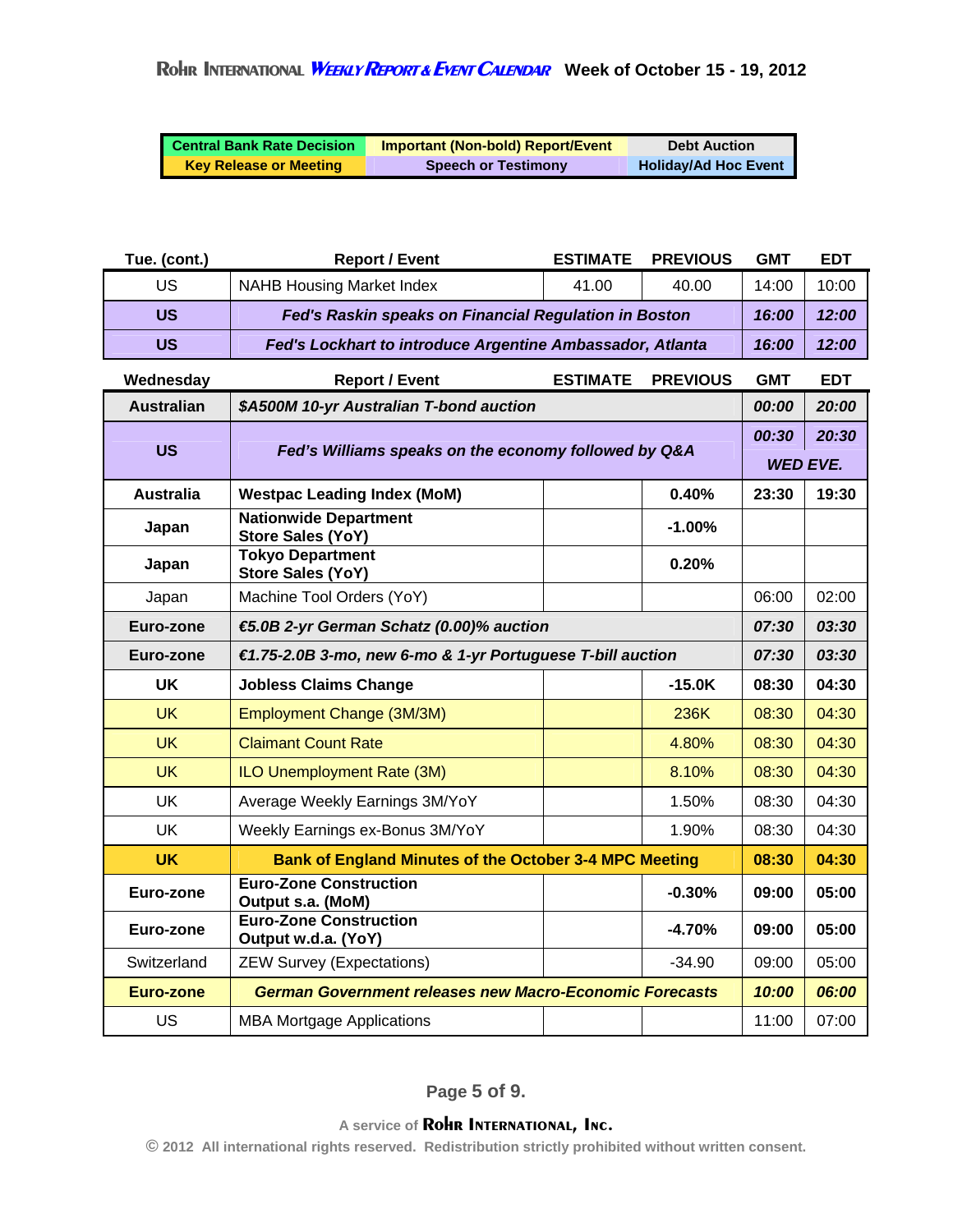| <b>Central Bank Rate Decision</b> | <b>Important (Non-bold) Report/Event</b> | <b>Debt Auction</b>         |
|-----------------------------------|------------------------------------------|-----------------------------|
| <b>Key Release or Meeting</b>     | <b>Speech or Testimony</b>               | <b>Holiday/Ad Hoc Event</b> |

| Tue. (cont.)      | <b>Report / Event</b>                                          | <b>ESTIMATE</b> | <b>PREVIOUS</b> | <b>GMT</b> | <b>EDT</b>               |
|-------------------|----------------------------------------------------------------|-----------------|-----------------|------------|--------------------------|
| <b>US</b>         | <b>NAHB Housing Market Index</b>                               | 41.00           | 40.00           | 14:00      | 10:00                    |
| US                | Fed's Raskin speaks on Financial Regulation in Boston          |                 |                 | 16:00      | 12:00                    |
| <b>US</b>         | Fed's Lockhart to introduce Argentine Ambassador, Atlanta      |                 |                 | 16:00      | 12:00                    |
| Wednesday         | <b>Report / Event</b>                                          | <b>ESTIMATE</b> | <b>PREVIOUS</b> | <b>GMT</b> | <b>EDT</b>               |
| <b>Australian</b> | \$A500M 10-yr Australian T-bond auction                        |                 |                 | 00:00      | 20:00                    |
| US                | Fed's Williams speaks on the economy followed by Q&A           |                 |                 | 00:30      | 20:30<br><b>WED EVE.</b> |
| <b>Australia</b>  | 0.40%<br><b>Westpac Leading Index (MoM)</b><br>23:30           |                 |                 |            | 19:30                    |
| Japan             | <b>Nationwide Department</b><br><b>Store Sales (YoY)</b>       |                 | $-1.00%$        |            |                          |
| Japan             | <b>Tokyo Department</b><br><b>Store Sales (YoY)</b>            |                 | 0.20%           |            |                          |
| Japan             | Machine Tool Orders (YoY)                                      |                 |                 | 06:00      | 02:00                    |
| Euro-zone         | €5.0B 2-yr German Schatz (0.00)% auction                       |                 |                 | 07:30      | 03:30                    |
| Euro-zone         | €1.75-2.0B 3-mo, new 6-mo & 1-yr Portuguese T-bill auction     |                 |                 | 07:30      | 03:30                    |
| <b>UK</b>         | <b>Jobless Claims Change</b>                                   |                 | $-15.0K$        | 08:30      | 04:30                    |
| <b>UK</b>         | Employment Change (3M/3M)                                      |                 | 236K            | 08:30      | 04:30                    |
| <b>UK</b>         | <b>Claimant Count Rate</b>                                     |                 | 4.80%           | 08:30      | 04:30                    |
| <b>UK</b>         | ILO Unemployment Rate (3M)                                     |                 | 8.10%           | 08:30      | 04:30                    |
| <b>UK</b>         | Average Weekly Earnings 3M/YoY                                 |                 | 1.50%           | 08:30      | 04:30                    |
| <b>UK</b>         | Weekly Earnings ex-Bonus 3M/YoY                                |                 | 1.90%           | 08:30      | 04:30                    |
| <b>UK</b>         | <b>Bank of England Minutes of the October 3-4 MPC Meeting</b>  |                 |                 | 08:30      | 04:30                    |
| Euro-zone         | <b>Euro-Zone Construction</b><br>Output s.a. (MoM)             |                 | $-0.30%$        | 09:00      | 05:00                    |
| Euro-zone         | <b>Euro-Zone Construction</b><br>Output w.d.a. (YoY)           |                 | $-4.70%$        | 09:00      | 05:00                    |
| Switzerland       | <b>ZEW Survey (Expectations)</b>                               |                 | $-34.90$        | 09:00      | 05:00                    |
| <b>Euro-zone</b>  | <b>German Government releases new Macro-Economic Forecasts</b> |                 |                 | 10:00      | 06:00                    |
| US                | <b>MBA Mortgage Applications</b>                               |                 |                 | 11:00      | 07:00                    |

**Page 5 of 9.**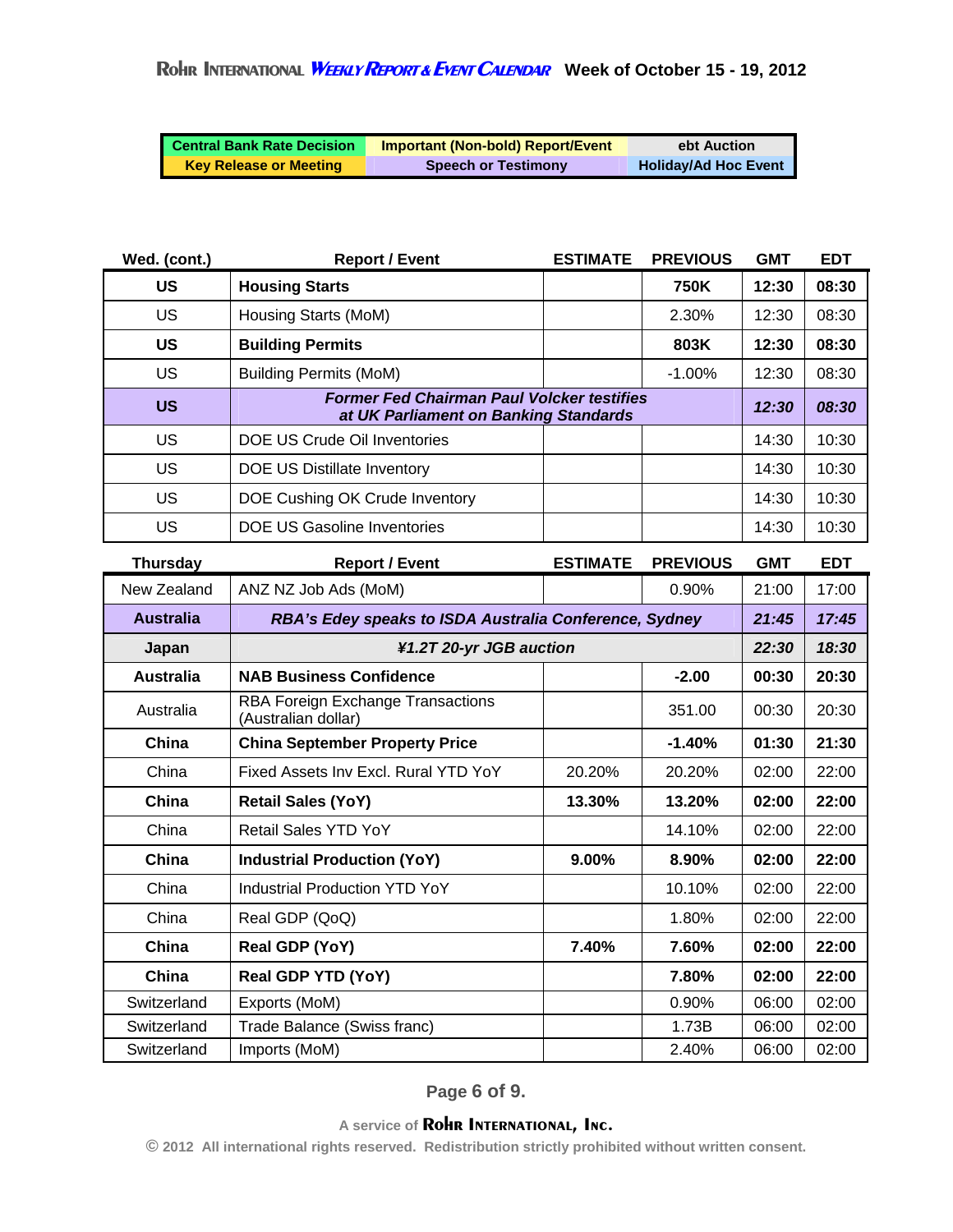| <b>Central Bank Rate Decision</b> | <b>Important (Non-bold) Report/Event</b> | ebt Auction                 |
|-----------------------------------|------------------------------------------|-----------------------------|
| <b>Key Release or Meeting</b>     | <b>Speech or Testimony</b>               | <b>Holiday/Ad Hoc Event</b> |

| Wed. (cont.)     | <b>Report / Event</b>                                                                      | <b>ESTIMATE</b> | <b>PREVIOUS</b> | <b>GMT</b> | <b>EDT</b> |
|------------------|--------------------------------------------------------------------------------------------|-----------------|-----------------|------------|------------|
| <b>US</b>        | <b>Housing Starts</b>                                                                      |                 | <b>750K</b>     | 12:30      | 08:30      |
| US               | Housing Starts (MoM)                                                                       |                 | 2.30%           | 12:30      | 08:30      |
| <b>US</b>        | <b>Building Permits</b>                                                                    |                 | 803K            | 12:30      | 08:30      |
| <b>US</b>        | <b>Building Permits (MoM)</b>                                                              |                 | $-1.00%$        | 12:30      | 08:30      |
| <b>US</b>        | <b>Former Fed Chairman Paul Volcker testifies</b><br>at UK Parliament on Banking Standards |                 |                 | 12:30      | 08:30      |
| US               | DOE US Crude Oil Inventories                                                               |                 |                 | 14:30      | 10:30      |
| <b>US</b>        | <b>DOE US Distillate Inventory</b>                                                         |                 |                 | 14:30      | 10:30      |
| US               | DOE Cushing OK Crude Inventory                                                             |                 |                 | 14:30      | 10:30      |
| <b>US</b>        | <b>DOE US Gasoline Inventories</b>                                                         |                 |                 | 14:30      | 10:30      |
| <b>Thursday</b>  | <b>Report / Event</b>                                                                      | <b>ESTIMATE</b> | <b>PREVIOUS</b> | <b>GMT</b> | <b>EDT</b> |
|                  |                                                                                            |                 |                 |            |            |
| New Zealand      | ANZ NZ Job Ads (MoM)                                                                       |                 | 0.90%           | 21:00      | 17:00      |
| <b>Australia</b> | RBA's Edey speaks to ISDA Australia Conference, Sydney                                     |                 |                 | 21:45      | 17:45      |
| Japan            | ¥1.2T 20-yr JGB auction                                                                    |                 |                 | 22:30      | 18:30      |
| <b>Australia</b> | <b>NAB Business Confidence</b>                                                             |                 | $-2.00$         | 00:30      | 20:30      |
| Australia        | RBA Foreign Exchange Transactions<br>(Australian dollar)                                   |                 | 351.00          | 00:30      | 20:30      |
| China            | <b>China September Property Price</b>                                                      |                 | $-1.40%$        | 01:30      | 21:30      |
| China            | Fixed Assets Inv Excl. Rural YTD YoY                                                       | 20.20%          | 20.20%          | 02:00      | 22:00      |
| China            | <b>Retail Sales (YoY)</b>                                                                  | 13.30%          | 13.20%          | 02:00      | 22:00      |
| China            | <b>Retail Sales YTD YoY</b>                                                                |                 | 14.10%          | 02:00      | 22:00      |
| China            | <b>Industrial Production (YoY)</b>                                                         | 9.00%           | 8.90%           | 02:00      | 22:00      |
| China            | <b>Industrial Production YTD YoY</b>                                                       |                 | 10.10%          | 02:00      | 22:00      |

China | Real GDP (QoQ) | 1.80% 02:00 | 22:00 **China Real GDP (YoY) 7.40% 7.60% 02:00 22:00 China Real GDP YTD (YoY) 7.80% 02:00 22:00**  Switzerland Exports (MoM) 0.90% 06:00 02:00 Switzerland | Trade Balance (Swiss franc) | 1.73B 06:00 02:00 Switzerland | Imports (MoM) | 2.40% 06:00 02:00

**© 2012 All international rights reserved. Redistribution strictly prohibited without written consent.**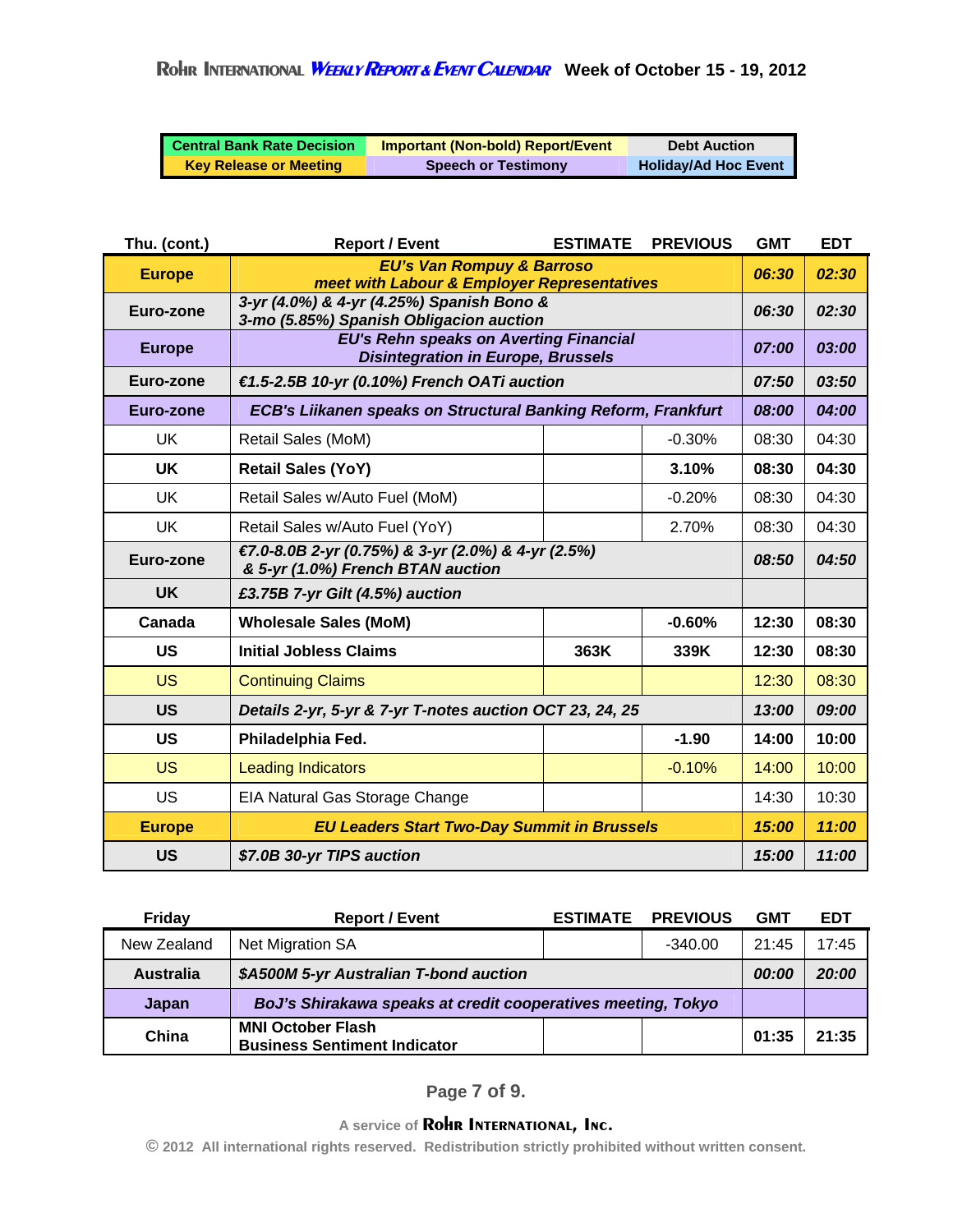| <b>Central Bank Rate Decision</b> | <b>Important (Non-bold) Report/Event</b> | <b>Debt Auction</b>         |
|-----------------------------------|------------------------------------------|-----------------------------|
| <b>Key Release or Meeting</b>     | <b>Speech or Testimony</b>               | <b>Holiday/Ad Hoc Event</b> |

| Thu. (cont.)  | <b>Report / Event</b>                                                                      | <b>ESTIMATE</b> | <b>PREVIOUS</b> | <b>GMT</b> | <b>EDT</b> |
|---------------|--------------------------------------------------------------------------------------------|-----------------|-----------------|------------|------------|
| <b>Europe</b> | <b>EU's Van Rompuy &amp; Barroso</b><br>meet with Labour & Employer Representatives        |                 | 06:30           | 02:30      |            |
| Euro-zone     | 3-yr (4.0%) & 4-yr (4.25%) Spanish Bono &<br>3-mo (5.85%) Spanish Obligacion auction       |                 |                 | 06:30      | 02:30      |
| <b>Europe</b> | <b>EU's Rehn speaks on Averting Financial</b><br><b>Disintegration in Europe, Brussels</b> |                 |                 | 07:00      | 03:00      |
| Euro-zone     | €1.5-2.5B 10-yr (0.10%) French OATi auction                                                |                 |                 | 07:50      | 03:50      |
| Euro-zone     | <b>ECB's Liikanen speaks on Structural Banking Reform, Frankfurt</b>                       |                 |                 | 08:00      | 04:00      |
| <b>UK</b>     | Retail Sales (MoM)                                                                         |                 | $-0.30%$        | 08:30      | 04:30      |
| <b>UK</b>     | <b>Retail Sales (YoY)</b>                                                                  |                 | 3.10%           | 08:30      | 04:30      |
| <b>UK</b>     | Retail Sales w/Auto Fuel (MoM)                                                             |                 | $-0.20%$        | 08:30      | 04:30      |
| <b>UK</b>     | Retail Sales w/Auto Fuel (YoY)                                                             |                 | 2.70%           | 08:30      | 04:30      |
| Euro-zone     | €7.0-8.0B 2-yr (0.75%) & 3-yr (2.0%) & 4-yr (2.5%)<br>& 5-yr (1.0%) French BTAN auction    |                 |                 | 08:50      | 04:50      |
| <b>UK</b>     | £3.75B 7-yr Gilt (4.5%) auction                                                            |                 |                 |            |            |
| Canada        | <b>Wholesale Sales (MoM)</b>                                                               |                 | $-0.60%$        | 12:30      | 08:30      |
| <b>US</b>     | <b>Initial Jobless Claims</b>                                                              | 363K            | 339K            | 12:30      | 08:30      |
| <b>US</b>     | <b>Continuing Claims</b>                                                                   |                 |                 | 12:30      | 08:30      |
| <b>US</b>     | Details 2-yr, 5-yr & 7-yr T-notes auction OCT 23, 24, 25                                   |                 |                 | 13:00      | 09:00      |
| <b>US</b>     | Philadelphia Fed.                                                                          |                 | $-1.90$         | 14:00      | 10:00      |
| <b>US</b>     | <b>Leading Indicators</b>                                                                  |                 | $-0.10%$        | 14:00      | 10:00      |
| US            | EIA Natural Gas Storage Change                                                             |                 |                 | 14:30      | 10:30      |
| <b>Europe</b> | <b>EU Leaders Start Two-Day Summit in Brussels</b>                                         |                 |                 | 15:00      | 11:00      |
| <b>US</b>     | \$7.0B 30-yr TIPS auction                                                                  |                 |                 | 15:00      | 11:00      |

| <b>Friday</b>    | <b>Report / Event</b>                                           | <b>ESTIMATE</b> | <b>PREVIOUS</b> | <b>GMT</b> | EDT   |
|------------------|-----------------------------------------------------------------|-----------------|-----------------|------------|-------|
| New Zealand      | Net Migration SA                                                |                 | $-340.00$       | 21:45      | 17:45 |
| <b>Australia</b> | \$A500M 5-yr Australian T-bond auction                          |                 |                 | 00:00      | 20:00 |
| Japan            | BoJ's Shirakawa speaks at credit cooperatives meeting, Tokyo    |                 |                 |            |       |
| China            | <b>MNI October Flash</b><br><b>Business Sentiment Indicator</b> |                 |                 | 01:35      | 21:35 |

**Page 7 of 9.**

**A service of Rohr INTERNATIONAL, Inc. © 2012 All international rights reserved. Redistribution strictly prohibited without written consent.**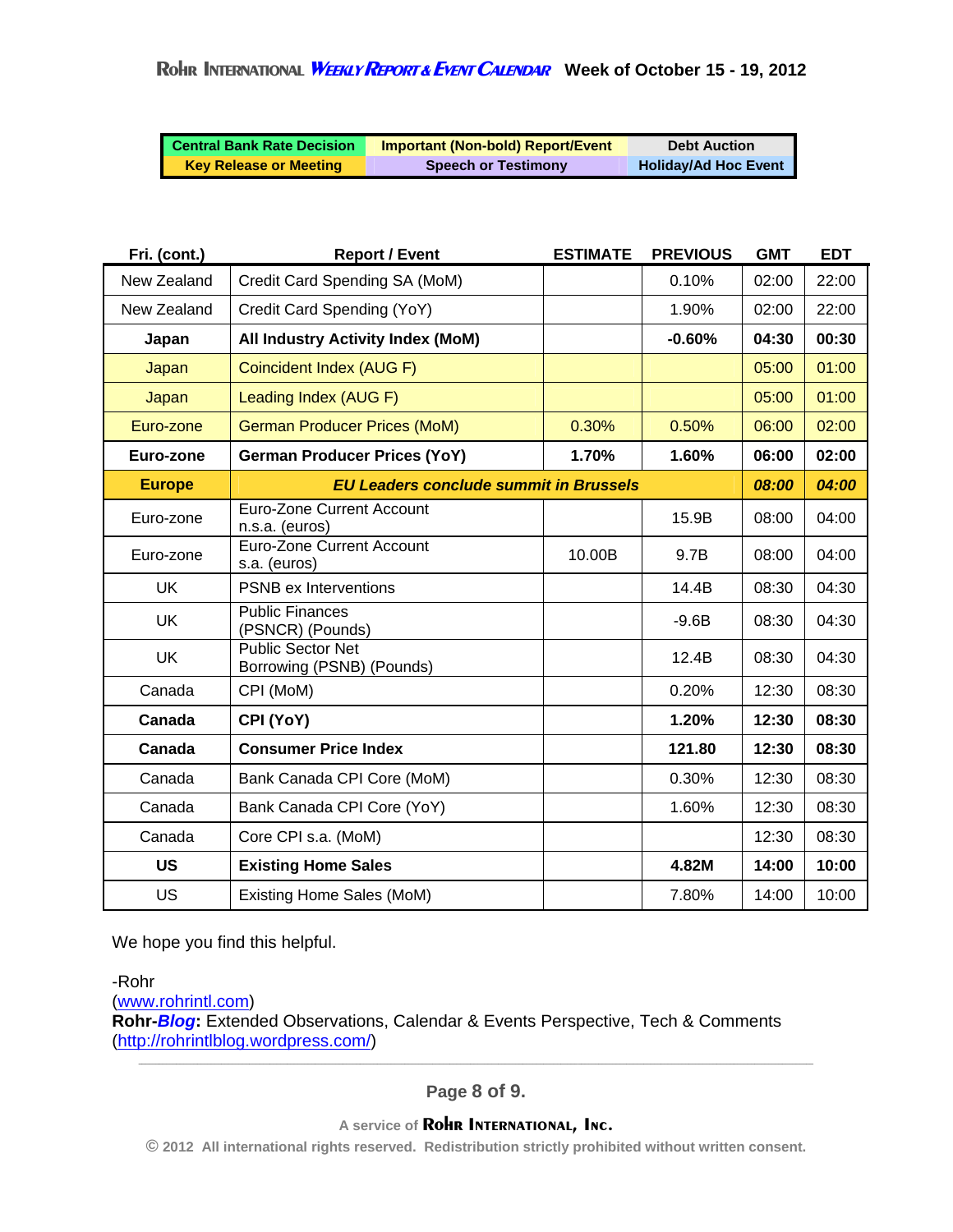| <b>Central Bank Rate Decision</b> | <b>Important (Non-bold) Report/Event</b> | <b>Debt Auction</b>         |
|-----------------------------------|------------------------------------------|-----------------------------|
| <b>Key Release or Meeting</b>     | <b>Speech or Testimony</b>               | <b>Holiday/Ad Hoc Event</b> |

| Fri. (cont.)  | <b>Report / Event</b>                                 | <b>ESTIMATE</b> | <b>PREVIOUS</b> | <b>GMT</b> | <b>EDT</b> |
|---------------|-------------------------------------------------------|-----------------|-----------------|------------|------------|
| New Zealand   | Credit Card Spending SA (MoM)                         |                 | 0.10%           | 02:00      | 22:00      |
| New Zealand   | Credit Card Spending (YoY)                            |                 | 1.90%           | 02:00      | 22:00      |
| Japan         | <b>All Industry Activity Index (MoM)</b>              |                 | $-0.60%$        | 04:30      | 00:30      |
| Japan         | Coincident Index (AUG F)                              |                 |                 | 05:00      | 01:00      |
| Japan         | Leading Index (AUG F)                                 |                 |                 | 05:00      | 01:00      |
| Euro-zone     | <b>German Producer Prices (MoM)</b>                   | 0.30%           | 0.50%           | 06:00      | 02:00      |
| Euro-zone     | <b>German Producer Prices (YoY)</b>                   | 1.70%           | 1.60%           | 06:00      | 02:00      |
| <b>Europe</b> | <b>EU Leaders conclude summit in Brussels</b>         |                 |                 | 08:00      | 04:00      |
| Euro-zone     | <b>Euro-Zone Current Account</b><br>n.s.a. (euros)    |                 | 15.9B           | 08:00      | 04:00      |
| Euro-zone     | <b>Euro-Zone Current Account</b><br>s.a. (euros)      | 10.00B          | 9.7B            | 08:00      | 04:00      |
| <b>UK</b>     | <b>PSNB ex Interventions</b>                          |                 | 14.4B           | 08:30      | 04:30      |
| <b>UK</b>     | <b>Public Finances</b><br>(PSNCR) (Pounds)            |                 | $-9.6B$         | 08:30      | 04:30      |
| <b>UK</b>     | <b>Public Sector Net</b><br>Borrowing (PSNB) (Pounds) |                 | 12.4B           | 08:30      | 04:30      |
| Canada        | CPI (MoM)                                             |                 | 0.20%           | 12:30      | 08:30      |
| Canada        | CPI (YoY)                                             |                 | 1.20%           | 12:30      | 08:30      |
| Canada        | <b>Consumer Price Index</b>                           |                 | 121.80          | 12:30      | 08:30      |
| Canada        | Bank Canada CPI Core (MoM)                            |                 | 0.30%           | 12:30      | 08:30      |
| Canada        | Bank Canada CPI Core (YoY)                            |                 | 1.60%           | 12:30      | 08:30      |
| Canada        | Core CPI s.a. (MoM)                                   |                 |                 | 12:30      | 08:30      |
| <b>US</b>     | <b>Existing Home Sales</b>                            |                 | 4.82M           | 14:00      | 10:00      |
| US            | Existing Home Sales (MoM)                             |                 | 7.80%           | 14:00      | 10:00      |

We hope you find this helpful.

-Rohr (www.rohrintl.com) **Rohr-***Blog***:** Extended Observations, Calendar & Events Perspective, Tech & Comments (http://rohrintlblog.wordpress.com/)

**Page 8 of 9.**

**© 2012 All international rights reserved. Redistribution strictly prohibited without written consent.**